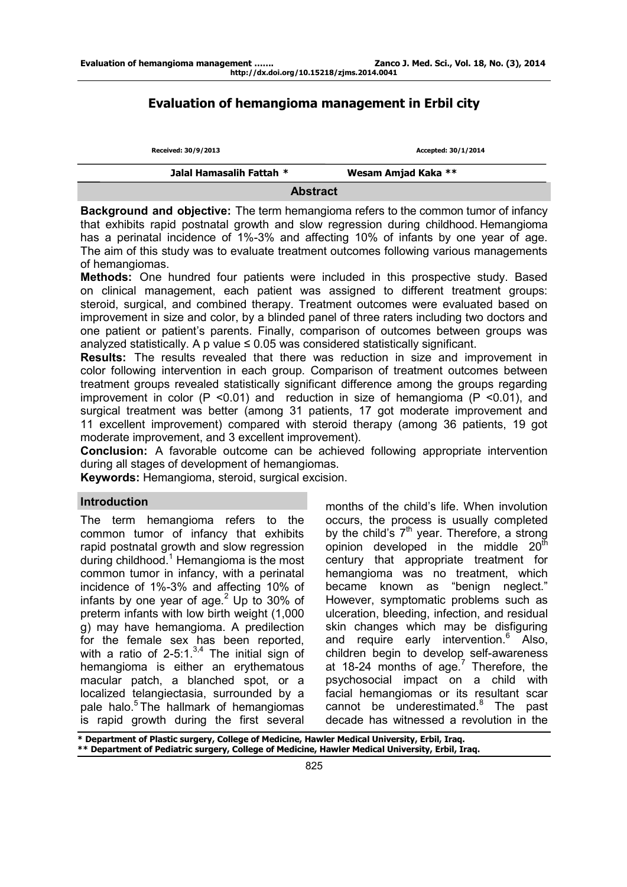# **Evaluation of hemangioma management in Erbil city**

| Received: 30/9/2013      | Accepted: 30/1/2014 |  |  |  |
|--------------------------|---------------------|--|--|--|
| Jalal Hamasalih Fattah * | Wesam Amjad Kaka ** |  |  |  |
| <b>Abstract</b>          |                     |  |  |  |

**Background and objective:** The term hemangioma refers to the common tumor of infancy that exhibits rapid postnatal growth and slow regression during childhood. Hemangioma has a perinatal incidence of 1%-3% and affecting 10% of infants by one year of age. The aim of this study was to evaluate treatment outcomes following various managements of hemangiomas.

**Methods:** One hundred four patients were included in this prospective study. Based on clinical management, each patient was assigned to different treatment groups: steroid, surgical, and combined therapy. Treatment outcomes were evaluated based on improvement in size and color, by a blinded panel of three raters including two doctors and one patient or patient's parents. Finally, comparison of outcomes between groups was analyzed statistically. A p value  $\leq 0.05$  was considered statistically significant.

**Results:** The results revealed that there was reduction in size and improvement in color following intervention in each group. Comparison of treatment outcomes between treatment groups revealed statistically significant difference among the groups regarding improvement in color ( $P$  <0.01) and reduction in size of hemangioma ( $P$  <0.01), and surgical treatment was better (among 31 patients, 17 got moderate improvement and 11 excellent improvement) compared with steroid therapy (among 36 patients, 19 got moderate improvement, and 3 excellent improvement).

**Conclusion:** A favorable outcome can be achieved following appropriate intervention during all stages of development of hemangiomas.

**Keywords:** Hemangioma, steroid, surgical excision.

The term hemangioma refers to the common tumor of infancy that exhibits rapid postnatal growth and slow regression during childhood.<sup>1</sup> Hemangioma is the most common tumor in infancy, with a perinatal incidence of 1%-3% and affecting 10% of infants by one year of age. $2$  Up to 30% of preterm infants with low birth weight (1,000 g) may have hemangioma. A predilection for the female sex has been reported, with a ratio of 2-5:1. $3,4$  The initial sign of hemangioma is either an erythematous macular patch, a blanched spot, or a localized telangiectasia, surrounded by a pale halo.<sup>5</sup>The hallmark of hemangiomas is rapid growth during the first several

**Introduction**<br> **Introduction**<br> **Introduction**<br> **Introduction** occurs, the process is usually completed by the child's  $7<sup>th</sup>$  year. Therefore, a strong opinion developed in the middle  $20^{th}$ century that appropriate treatment for hemangioma was no treatment, which became known as "benign neglect." However, symptomatic problems such as ulceration, bleeding, infection, and residual skin changes which may be disfiguring and require early intervention.<sup>6</sup> Also, children begin to develop self-awareness at 18-24 months of age. $7$  Therefore, the psychosocial impact on a child with facial hemangiomas or its resultant scar cannot be underestimated.<sup>8</sup> The past decade has witnessed a revolution in the

**\* Department of Plastic surgery, College of Medicine, Hawler Medical University, Erbil, Iraq. \*\* Department of Pediatric surgery, College of Medicine, Hawler Medical University, Erbil, Iraq.**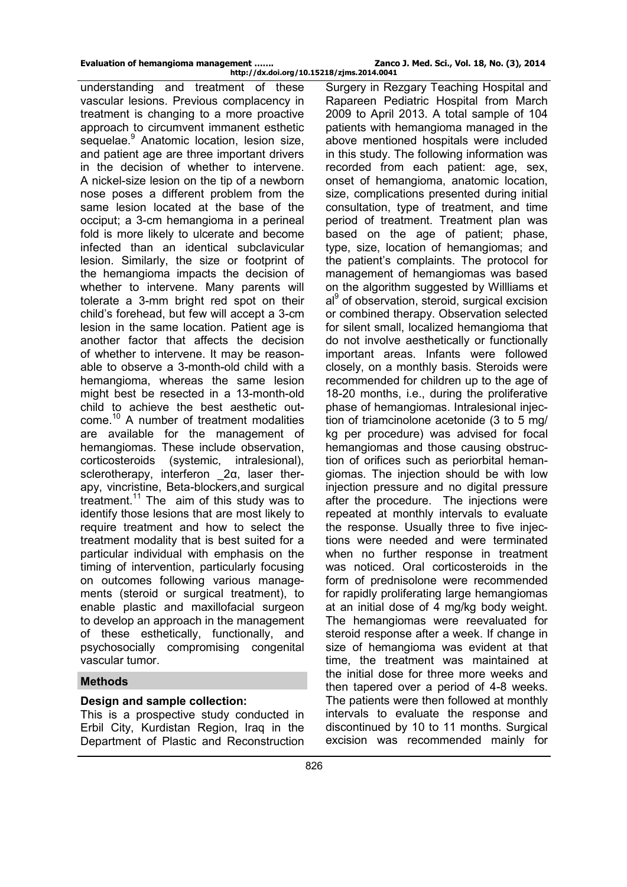**http://dx.doi.org/10.15218/zjms.2014.0041**

understanding and treatment of these vascular lesions. Previous complacency in treatment is changing to a more proactive approach to circumvent immanent esthetic sequelae.<sup>9</sup> Anatomic location, lesion size, and patient age are three important drivers in the decision of whether to intervene. A nickel-size lesion on the tip of a newborn nose poses a different problem from the same lesion located at the base of the occiput; a 3-cm hemangioma in a perineal fold is more likely to ulcerate and become infected than an identical subclavicular lesion. Similarly, the size or footprint of the hemangioma impacts the decision of whether to intervene. Many parents will tolerate a 3-mm bright red spot on their child's forehead, but few will accept a 3-cm lesion in the same location. Patient age is another factor that affects the decision of whether to intervene. It may be reasonable to observe a 3-month-old child with a hemangioma, whereas the same lesion might best be resected in a 13-month-old child to achieve the best aesthetic outcome.<sup>10</sup> A number of treatment modalities are available for the management of hemangiomas. These include observation, corticosteroids (systemic, intralesional), sclerotherapy, interferon \_2α, laser therapy, vincristine, Beta-blockers,and surgical treatment.<sup>11</sup> The aim of this study was to identify those lesions that are most likely to require treatment and how to select the treatment modality that is best suited for a particular individual with emphasis on the timing of intervention, particularly focusing on outcomes following various managements (steroid or surgical treatment), to enable plastic and maxillofacial surgeon to develop an approach in the management of these esthetically, functionally, and psychosocially compromising congenital vascular tumor.

## **Methods**

## **Design and sample collection:**

This is a prospective study conducted in Erbil City, Kurdistan Region, Iraq in the Department of Plastic and Reconstruction

Surgery in Rezgary Teaching Hospital and Rapareen Pediatric Hospital from March 2009 to April 2013. A total sample of 104 patients with hemangioma managed in the above mentioned hospitals were included in this study. The following information was recorded from each patient: age, sex, onset of hemangioma, anatomic location, size, complications presented during initial consultation, type of treatment, and time period of treatment. Treatment plan was based on the age of patient; phase, type, size, location of hemangiomas; and the patient's complaints. The protocol for management of hemangiomas was based on the algorithm suggested by Willliams et al<sup>9</sup> of observation, steroid, surgical excision or combined therapy. Observation selected for silent small, localized hemangioma that do not involve aesthetically or functionally important areas. Infants were followed closely, on a monthly basis. Steroids were recommended for children up to the age of 18-20 months, i.e., during the proliferative phase of hemangiomas. Intralesional injection of triamcinolone acetonide (3 to 5 mg/ kg per procedure) was advised for focal hemangiomas and those causing obstruction of orifices such as periorbital hemangiomas. The injection should be with low injection pressure and no digital pressure after the procedure. The injections were repeated at monthly intervals to evaluate the response. Usually three to five injections were needed and were terminated when no further response in treatment was noticed. Oral corticosteroids in the form of prednisolone were recommended for rapidly proliferating large hemangiomas at an initial dose of 4 mg/kg body weight. The hemangiomas were reevaluated for steroid response after a week. If change in size of hemangioma was evident at that time, the treatment was maintained at the initial dose for three more weeks and then tapered over a period of 4-8 weeks. The patients were then followed at monthly intervals to evaluate the response and discontinued by 10 to 11 months. Surgical excision was recommended mainly for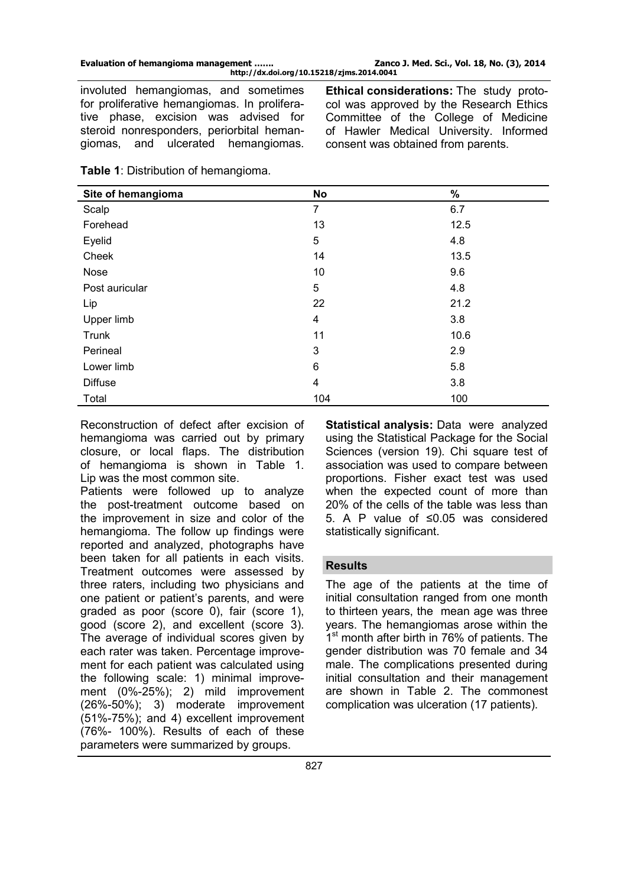involuted hemangiomas, and sometimes for proliferative hemangiomas. In proliferative phase, excision was advised for steroid nonresponders, periorbital hemangiomas, and ulcerated hemangiomas.

**Ethical considerations:** The study protocol was approved by the Research Ethics Committee of the College of Medicine of Hawler Medical University. Informed consent was obtained from parents.

|  | <b>Table 1: Distribution of hemangioma.</b> |  |  |
|--|---------------------------------------------|--|--|
|--|---------------------------------------------|--|--|

| Site of hemangioma | <b>No</b> | %    |
|--------------------|-----------|------|
| Scalp              | 7         | 6.7  |
| Forehead           | 13        | 12.5 |
| Eyelid             | 5         | 4.8  |
| Cheek              | 14        | 13.5 |
| Nose               | 10        | 9.6  |
| Post auricular     | 5         | 4.8  |
| Lip                | 22        | 21.2 |
| Upper limb         | 4         | 3.8  |
| Trunk              | 11        | 10.6 |
| Perineal           | 3         | 2.9  |
| Lower limb         | 6         | 5.8  |
| <b>Diffuse</b>     | 4         | 3.8  |
| Total              | 104       | 100  |

Reconstruction of defect after excision of hemangioma was carried out by primary closure, or local flaps. The distribution of hemangioma is shown in Table 1. Lip was the most common site.

Patients were followed up to analyze the post-treatment outcome based on the improvement in size and color of the hemangioma. The follow up findings were reported and analyzed, photographs have been taken for all patients in each visits. Treatment outcomes were assessed by three raters, including two physicians and one patient or patient's parents, and were graded as poor (score 0), fair (score 1), good (score 2), and excellent (score 3). The average of individual scores given by each rater was taken. Percentage improvement for each patient was calculated using the following scale: 1) minimal improvement (0%-25%); 2) mild improvement (26%-50%); 3) moderate improvement (51%-75%); and 4) excellent improvement (76%- 100%). Results of each of these parameters were summarized by groups.

**Statistical analysis:** Data were analyzed using the Statistical Package for the Social Sciences (version 19). Chi square test of association was used to compare between proportions. Fisher exact test was used when the expected count of more than 20% of the cells of the table was less than 5. A P value of ≤0.05 was considered statistically significant.

## **Results**

The age of the patients at the time of initial consultation ranged from one month to thirteen years, the mean age was three years. The hemangiomas arose within the 1<sup>st</sup> month after birth in 76% of patients. The gender distribution was 70 female and 34 male. The complications presented during initial consultation and their management are shown in Table 2. The commonest complication was ulceration (17 patients).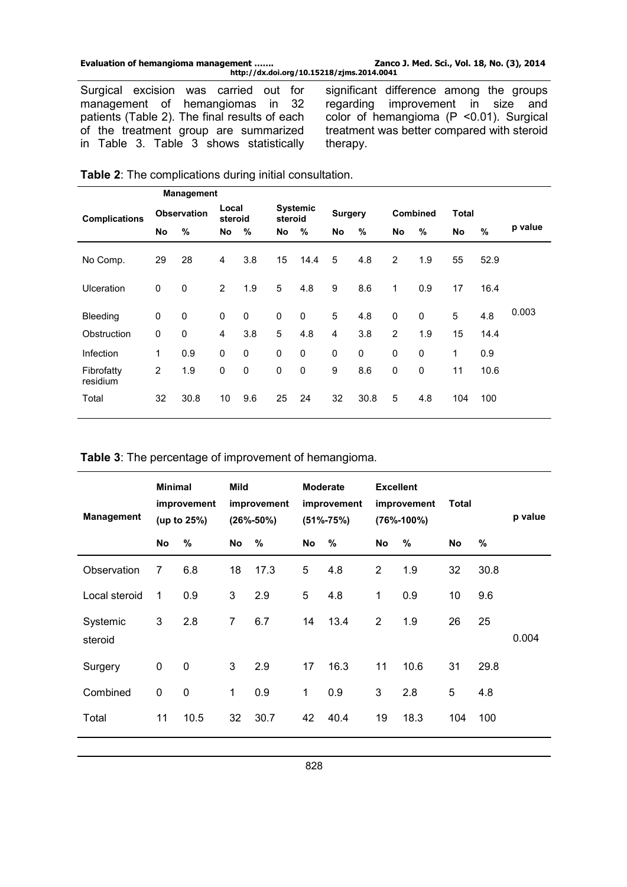| Evaluation of hemangioma management | Zanco J. Med. Sci., Vol. 18, No. (3), 2014 |
|-------------------------------------|--------------------------------------------|
|                                     |                                            |

**http://dx.doi.org/10.15218/zjms.2014.0041**

Surgical excision was carried out for management of hemangiomas in 32 patients (Table 2). The final results of each of the treatment group are summarized in Table 3. Table 3 shows statistically significant difference among the groups regarding improvement in size and color of hemangioma (P <0.01). Surgical treatment was better compared with steroid therapy.

|                        |              | <b>Management</b>  |                  |             |             |                 |                |             |                |             |       |      |         |
|------------------------|--------------|--------------------|------------------|-------------|-------------|-----------------|----------------|-------------|----------------|-------------|-------|------|---------|
| <b>Complications</b>   |              | <b>Observation</b> | Local<br>steroid |             | steroid     | <b>Systemic</b> | <b>Surgery</b> |             |                | Combined    | Total |      |         |
|                        | No           | %                  | No               | %           | No          | $\%$            | No             | %           | No             | $\%$        | No    | $\%$ | p value |
| No Comp.               | 29           | 28                 | 4                | 3.8         | 15          | 14.4            | 5              | 4.8         | 2              | 1.9         | 55    | 52.9 |         |
| <b>Ulceration</b>      | $\mathbf 0$  | $\mathbf 0$        | $\overline{2}$   | 1.9         | 5           | 4.8             | 9              | 8.6         | 1              | 0.9         | 17    | 16.4 |         |
| Bleeding               | 0            | 0                  | 0                | 0           | $\mathbf 0$ | 0               | 5              | 4.8         | 0              | $\mathbf 0$ | 5     | 4.8  | 0.003   |
| Obstruction            | 0            | $\mathbf 0$        | 4                | 3.8         | 5           | 4.8             | 4              | 3.8         | $\overline{2}$ | 1.9         | 15    | 14.4 |         |
| Infection              | $\mathbf{1}$ | 0.9                | 0                | $\mathbf 0$ | $\mathbf 0$ | $\mathbf 0$     | $\mathbf 0$    | $\mathbf 0$ | $\mathbf 0$    | $\mathbf 0$ | 1     | 0.9  |         |
| Fibrofatty<br>residium | 2            | 1.9                | 0                | 0           | 0           | $\mathbf 0$     | 9              | 8.6         | 0              | 0           | 11    | 10.6 |         |
| Total                  | 32           | 30.8               | 10               | 9.6         | 25          | 24              | 32             | 30.8        | 5              | 4.8         | 104   | 100  |         |

| Table 2: The complications during initial consultation. |  |  |
|---------------------------------------------------------|--|--|
|---------------------------------------------------------|--|--|

**Table 3**: The percentage of improvement of hemangioma.

| <b>Management</b>   | <b>Minimal</b><br>improvement<br>(up to $25\%$ ) |             | Mild<br>improvement<br>$(26\% - 50\%)$ |      | <b>Moderate</b><br>improvement<br>$(51\% - 75\%)$ |      | <b>Excellent</b><br>improvement<br>$(76\% - 100\%)$ |      | Total |      | p value |
|---------------------|--------------------------------------------------|-------------|----------------------------------------|------|---------------------------------------------------|------|-----------------------------------------------------|------|-------|------|---------|
|                     | No                                               | %           | No                                     | %    | No                                                | %    | No                                                  | $\%$ | No    | %    |         |
| Observation         | $\overline{7}$                                   | 6.8         | 18                                     | 17.3 | 5                                                 | 4.8  | $\overline{2}$                                      | 1.9  | 32    | 30.8 |         |
| Local steroid       | 1                                                | 0.9         | 3                                      | 2.9  | 5                                                 | 4.8  | 1                                                   | 0.9  | 10    | 9.6  |         |
| Systemic<br>steroid | 3                                                | 2.8         | $\overline{7}$                         | 6.7  | 14                                                | 13.4 | $\overline{2}$                                      | 1.9  | 26    | 25   | 0.004   |
| Surgery             | 0                                                | $\mathbf 0$ | 3                                      | 2.9  | 17                                                | 16.3 | 11                                                  | 10.6 | 31    | 29.8 |         |
| Combined            | $\pmb{0}$                                        | $\mathbf 0$ | 1                                      | 0.9  | 1                                                 | 0.9  | 3                                                   | 2.8  | 5     | 4.8  |         |
| Total               | 11                                               | 10.5        | 32                                     | 30.7 | 42                                                | 40.4 | 19                                                  | 18.3 | 104   | 100  |         |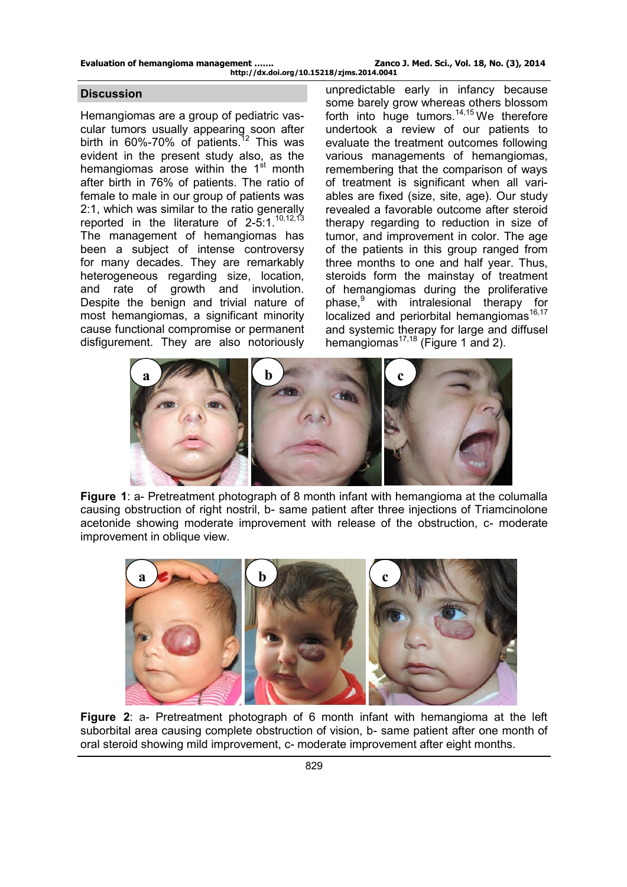| Evaluation of hemangioma management       | Zanco J. Med. Sci., Vol. 18, No. (3), 2014 |
|-------------------------------------------|--------------------------------------------|
| http://dx.doi.org/10.15218/zjms.2014.0041 |                                            |

## **Discussion**

Hemangiomas are a group of pediatric vascular tumors usually appearing soon after birth in 60%-70% of patients.<sup>12</sup> This was evident in the present study also, as the hemangiomas arose within the  $1<sup>st</sup>$  month after birth in 76% of patients. The ratio of female to male in our group of patients was 2:1, which was similar to the ratio generally reported in the literature of  $2-5:1.^{10,12,13}$ The management of hemangiomas has been a subject of intense controversy for many decades. They are remarkably heterogeneous regarding size, location, and rate of growth and involution. Despite the benign and trivial nature of most hemangiomas, a significant minority cause functional compromise or permanent disfigurement. They are also notoriously

unpredictable early in infancy because some barely grow whereas others blossom forth into huge tumors.<sup>14,15</sup> We therefore undertook a review of our patients to evaluate the treatment outcomes following various managements of hemangiomas, remembering that the comparison of ways of treatment is significant when all variables are fixed (size, site, age). Our study revealed a favorable outcome after steroid therapy regarding to reduction in size of tumor, and improvement in color. The age of the patients in this group ranged from three months to one and half year. Thus, steroids form the mainstay of treatment of hemangiomas during the proliferative phase,<sup>9</sup> with intralesional therapy for localized and periorbital hemangiomas $16,17$ and systemic therapy for large and diffusel hemangiomas<sup>17,18</sup> (Figure 1 and 2).



**Figure 1**: a- Pretreatment photograph of 8 month infant with hemangioma at the columalla causing obstruction of right nostril, b- same patient after three injections of Triamcinolone acetonide showing moderate improvement with release of the obstruction, c- moderate improvement in oblique view.



**Figure 2**: a- Pretreatment photograph of 6 month infant with hemangioma at the left suborbital area causing complete obstruction of vision, b- same patient after one month of oral steroid showing mild improvement, c- moderate improvement after eight months.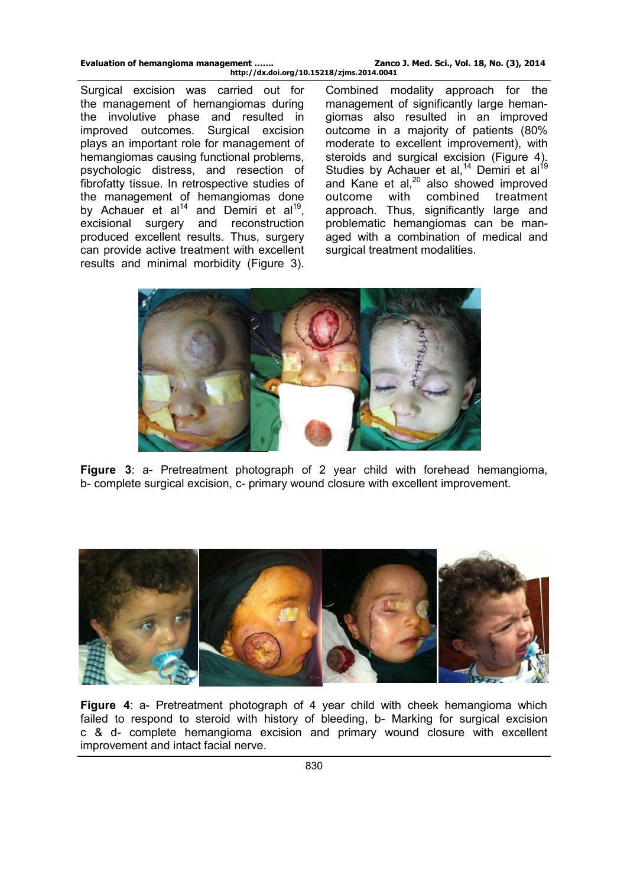| Evaluation of hemangioma management       | Zanco J. Med. Sci., Vol. 18, No. (3), 2014 |
|-------------------------------------------|--------------------------------------------|
| http://dx.doi.org/10.15218/zjms.2014.0041 |                                            |

Surgical excision was carried out for the management of hemangiomas during the involutive phase and resulted in improved outcomes. Surgical excision plays an important role for management of hemangiomas causing functional problems, psychologic distress, and resection of fibrofatty tissue. In retrospective studies of the management of hemangiomas done by Achauer et al<sup>14</sup> and Demiri et al<sup>19</sup>, excisional surgery and reconstruction produced excellent results. Thus, surgery can provide active treatment with excellent results and minimal morbidity (Figure 3).

Combined modality approach for the management of significantly large hemangiomas also resulted in an improved outcome in a majority of patients (80% moderate to excellent improvement), with steroids and surgical excision (Figure 4). Studies by Achauer et al,<sup>14</sup> Demiri et al<sup>19</sup> and Kane et al, $^{20}$  also showed improved outcome with combined treatment approach. Thus, significantly large and problematic hemangiomas can be managed with a combination of medical and surgical treatment modalities.



**Figure 3**: a- Pretreatment photograph of 2 year child with forehead hemangioma, b- complete surgical excision, c- primary wound closure with excellent improvement.



**Figure 4**: a- Pretreatment photograph of 4 year child with cheek hemangioma which failed to respond to steroid with history of bleeding, b- Marking for surgical excision c & d- complete hemangioma excision and primary wound closure with excellent improvement and intact facial nerve.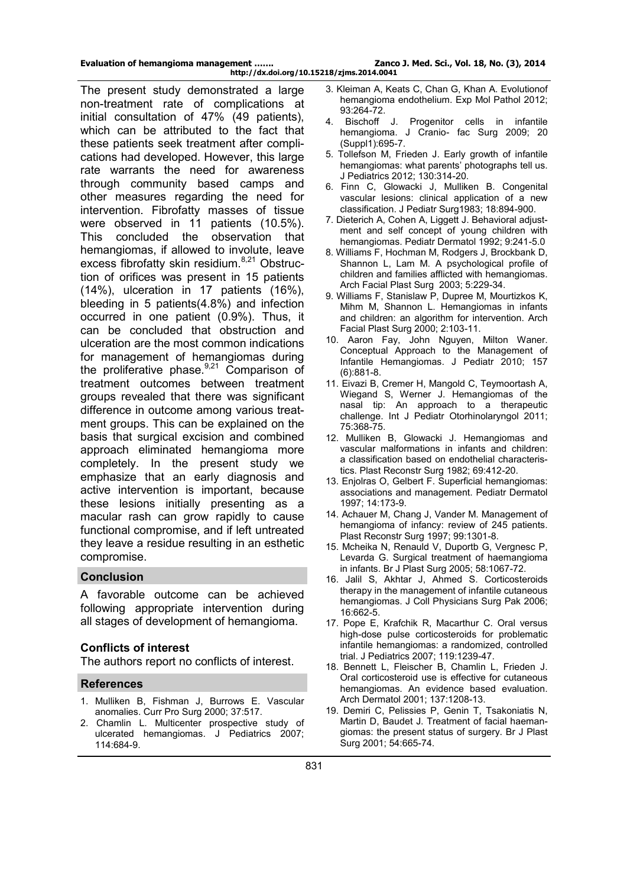| Evaluation of hemangioma management       | Zanco J. Med. Sci., Vol. 18, No. (3), 2014 |
|-------------------------------------------|--------------------------------------------|
| http://dx.doi.org/10.15218/zjms.2014.0041 |                                            |

The present study demonstrated a large non-treatment rate of complications at initial consultation of 47% (49 patients), which can be attributed to the fact that these patients seek treatment after complications had developed. However, this large rate warrants the need for awareness through community based camps and other measures regarding the need for intervention. Fibrofatty masses of tissue were observed in 11 patients (10.5%). This concluded the observation that hemangiomas, if allowed to involute, leave excess fibrofatty skin residium.<sup>8,21</sup> Obstruction of orifices was present in 15 patients (14%), ulceration in 17 patients (16%), bleeding in 5 patients(4.8%) and infection occurred in one patient (0.9%). Thus, it can be concluded that obstruction and ulceration are the most common indications for management of hemangiomas during the proliferative phase. $9,21$  Comparison of treatment outcomes between treatment groups revealed that there was significant difference in outcome among various treatment groups. This can be explained on the basis that surgical excision and combined approach eliminated hemangioma more completely. In the present study we emphasize that an early diagnosis and active intervention is important, because these lesions initially presenting as a macular rash can grow rapidly to cause functional compromise, and if left untreated they leave a residue resulting in an esthetic compromise.

## **Conclusion**

A favorable outcome can be achieved following appropriate intervention during all stages of development of hemangioma.

## **Conflicts of interest**

The authors report no conflicts of interest.

## **References**

- 1. Mulliken B, Fishman J, Burrows E. Vascular anomalies. Curr Pro Surg 2000; 37:517.
- 2. Chamlin L. Multicenter prospective study of ulcerated hemangiomas. J Pediatrics 2007; 114:684-9.
- 3. Kleiman A, Keats C, Chan G, Khan A. Evolutionof hemangioma endothelium. Exp Mol Pathol 2012; 93:264-72.<br>4 Bischoff
- Bischoff J. Progenitor cells in infantile hemangioma. J Cranio- fac Surg 2009; 20 (Suppl1):695-7.
- 5. Tollefson M, Frieden J. Early growth of infantile hemangiomas: what parents' photographs tell us. J Pediatrics 2012; 130:314-20.
- 6. Finn C, Glowacki J, Mulliken B. Congenital vascular lesions: clinical application of a new classification. J Pediatr Surg1983; 18:894-900.
- 7. Dieterich A, Cohen A, Liggett J. Behavioral adjustment and self concept of young children with hemangiomas. Pediatr Dermatol 1992; 9:241-5.0
- 8. Williams F, Hochman M, Rodgers J, Brockbank D, Shannon L, Lam M. A psychological profile of children and families afflicted with hemangiomas. Arch Facial Plast Surg 2003; 5:229-34.
- 9. Williams F, Stanislaw P, Dupree M, Mourtizkos K, Mihm M, Shannon L. Hemangiomas in infants and children: an algorithm for intervention. Arch Facial Plast Surg 2000; 2:103-11.
- 10. Aaron Fay, John Nguyen, Milton Waner. Conceptual Approach to the Management of Infantile Hemangiomas. J Pediatr 2010; 157 (6):881-8.
- 11. Eivazi B, Cremer H, Mangold C, Teymoortash A, Wiegand S, Werner J. Hemangiomas of the nasal tip: An approach to a therapeutic challenge. Int J Pediatr Otorhinolaryngol 2011; 75:368-75.
- 12. Mulliken B, Glowacki J. Hemangiomas and vascular malformations in infants and children: a classification based on endothelial characteristics. Plast Reconstr Surg 1982; 69:412-20.
- 13. Enjolras O, Gelbert F. Superficial hemangiomas: associations and management. Pediatr Dermatol 1997; 14:173-9.
- 14. Achauer M, Chang J, Vander M. Management of hemangioma of infancy: review of 245 patients. Plast Reconstr Surg 1997; 99:1301-8.
- 15. Mcheika N, Renauld V, Duportb G, Vergnesc P, Levarda G. Surgical treatment of haemangioma in infants. Br J Plast Surg 2005; 58:1067-72.
- 16. Jalil S, Akhtar J, Ahmed S. Corticosteroids therapy in the management of infantile cutaneous hemangiomas. J Coll Physicians Surg Pak 2006; 16:662-5.
- 17. Pope E, Krafchik R, Macarthur C. Oral versus high-dose pulse corticosteroids for problematic infantile hemangiomas: a randomized, controlled trial. J Pediatrics 2007; 119:1239-47.
- 18. Bennett L, Fleischer B, Chamlin L, Frieden J. Oral corticosteroid use is effective for cutaneous hemangiomas. An evidence based evaluation. Arch Dermatol 2001; 137:1208-13.
- 19. Demiri C, Pelissies P, Genin T, Tsakoniatis N, Martin D, Baudet J. Treatment of facial haemangiomas: the present status of surgery. Br J Plast Surg 2001; 54:665-74.